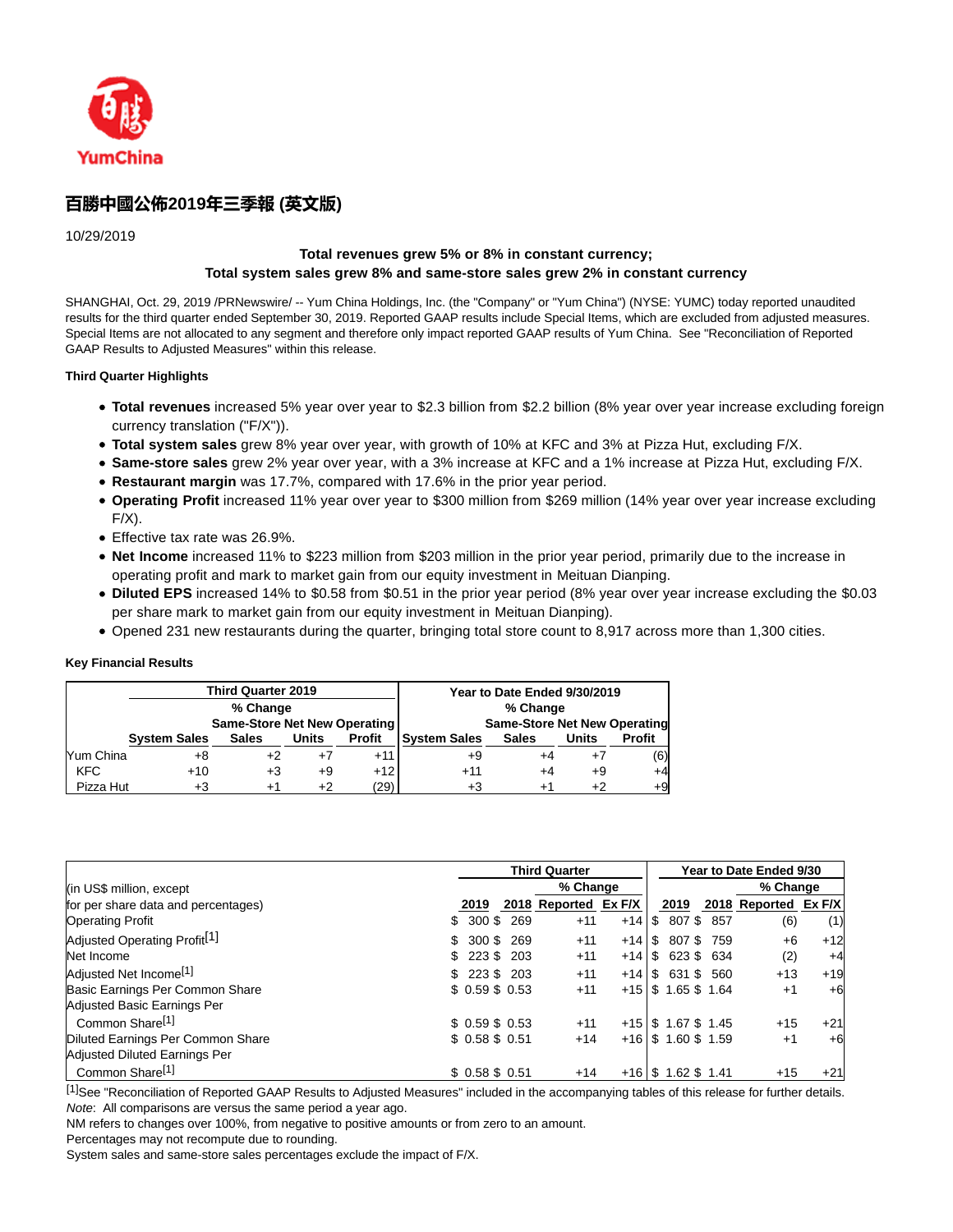

# **百勝中國公佈2019年三季報 (英文版)**

10/29/2019

# **Total revenues grew 5% or 8% in constant currency; Total system sales grew 8% and same-store sales grew 2% in constant currency**

SHANGHAI, Oct. 29, 2019 /PRNewswire/ -- Yum China Holdings, Inc. (the "Company" or "Yum China") (NYSE: YUMC) today reported unaudited results for the third quarter ended September 30, 2019. Reported GAAP results include Special Items, which are excluded from adjusted measures. Special Items are not allocated to any segment and therefore only impact reported GAAP results of Yum China. See "Reconciliation of Reported GAAP Results to Adjusted Measures" within this release.

# **Third Quarter Highlights**

- **Total revenues** increased 5% year over year to \$2.3 billion from \$2.2 billion (8% year over year increase excluding foreign currency translation ("F/X")).
- **Total system sales** grew 8% year over year, with growth of 10% at KFC and 3% at Pizza Hut, excluding F/X.
- **Same-store sales** grew 2% year over year, with a 3% increase at KFC and a 1% increase at Pizza Hut, excluding F/X.
- **Restaurant margin** was 17.7%, compared with 17.6% in the prior year period.
- **Operating Profit** increased 11% year over year to \$300 million from \$269 million (14% year over year increase excluding  $F/X$ ).
- Effective tax rate was 26.9%.
- **Net Income** increased 11% to \$223 million from \$203 million in the prior year period, primarily due to the increase in operating profit and mark to market gain from our equity investment in Meituan Dianping.
- **Diluted EPS** increased 14% to \$0.58 from \$0.51 in the prior year period (8% year over year increase excluding the \$0.03 per share mark to market gain from our equity investment in Meituan Dianping).
- Opened 231 new restaurants during the quarter, bringing total store count to 8,917 across more than 1,300 cities.

# **Key Financial Results**

|            | <b>Third Quarter 2019</b> |                                                     | Year to Date Ended 9/30/2019<br>% Change<br><b>Same-Store Net New Operating</b> |               |                     |              |       |        |
|------------|---------------------------|-----------------------------------------------------|---------------------------------------------------------------------------------|---------------|---------------------|--------------|-------|--------|
|            | <b>System Sales</b>       | <b>Same-Store Net New Operating</b><br><b>Sales</b> | Units                                                                           | <b>Profit</b> | <b>System Sales</b> | <b>Sales</b> | Units | Profit |
| Yum China  | +8                        | +2                                                  | $+1$                                                                            | $+11$         | +9                  | +4           | +7    | (6)    |
| <b>KFC</b> | $+10$                     | $+3$                                                | +9                                                                              | $+12$         | $+11$               | +4           | +9    | $+4$   |
| Pizza Hut  | +3                        | $+1$                                                | $+2$                                                                            | 29)           | +3                  | $+1$         | +2    | $+9$   |

|                                          |     | <b>Third Quarter</b> |  |            |                      |       | Year to Date Ended 9/30 |                         |           |                      |       |
|------------------------------------------|-----|----------------------|--|------------|----------------------|-------|-------------------------|-------------------------|-----------|----------------------|-------|
| (in US\$ million, except                 |     |                      |  |            | % Change             |       |                         |                         |           | % Change             |       |
| for per share data and percentages)      |     | 2019                 |  |            | 2018 Reported Ex F/X |       |                         | 2019                    |           | 2018 Reported Ex F/X |       |
| <b>Operating Profit</b>                  |     | $$300\$ 269          |  |            | $+11$                | $+14$ | IS.                     | 807 \$857               |           | (6)                  | (1)   |
| Adjusted Operating Profit <sup>[1]</sup> | \$. |                      |  | 300 \$ 269 | $+11$                | $+14$ | \$                      |                         | 807 \$759 | $+6$                 | $+12$ |
| Net Income                               | \$. |                      |  | 223 \$ 203 | $+11$                | $+14$ | S                       | 623 \$ 634              |           | (2)                  | $+4$  |
| Adjusted Net Income <sup>[1]</sup>       | \$. |                      |  | 223 \$ 203 | $+11$                | $+14$ | <b>S</b>                | 631 \$560               |           | $+13$                | $+19$ |
| Basic Earnings Per Common Share          |     | \$0.59\$0.53         |  |            | $+11$                |       |                         | $+15$   \$ 1.65 \$ 1.64 |           | $+1$                 | $+6$  |
| Adjusted Basic Earnings Per              |     |                      |  |            |                      |       |                         |                         |           |                      |       |
| Common Share <sup>[1]</sup>              |     | \$0.59\$0.53         |  |            | $+11$                |       |                         | $+15$ \$ 1.67 \$ 1.45   |           | $+15$                | $+21$ |
| Diluted Earnings Per Common Share        |     | \$0.58\$0.51         |  |            | $+14$                |       |                         | $+16$ \$ 1.60 \$ 1.59   |           | $+1$                 | $+6$  |
| Adjusted Diluted Earnings Per            |     |                      |  |            |                      |       |                         |                         |           |                      |       |
| Common Share <sup>[1]</sup>              |     | \$0.58\$0.51         |  |            | $+14$                |       |                         | $+16$   \$ 1.62 \$ 1.41 |           | $+15$                | $+21$ |

<sup>[1]</sup>See "Reconciliation of Reported GAAP Results to Adjusted Measures" included in the accompanying tables of this release for further details. Note: All comparisons are versus the same period a year ago.

NM refers to changes over 100%, from negative to positive amounts or from zero to an amount.

Percentages may not recompute due to rounding.

System sales and same-store sales percentages exclude the impact of F/X.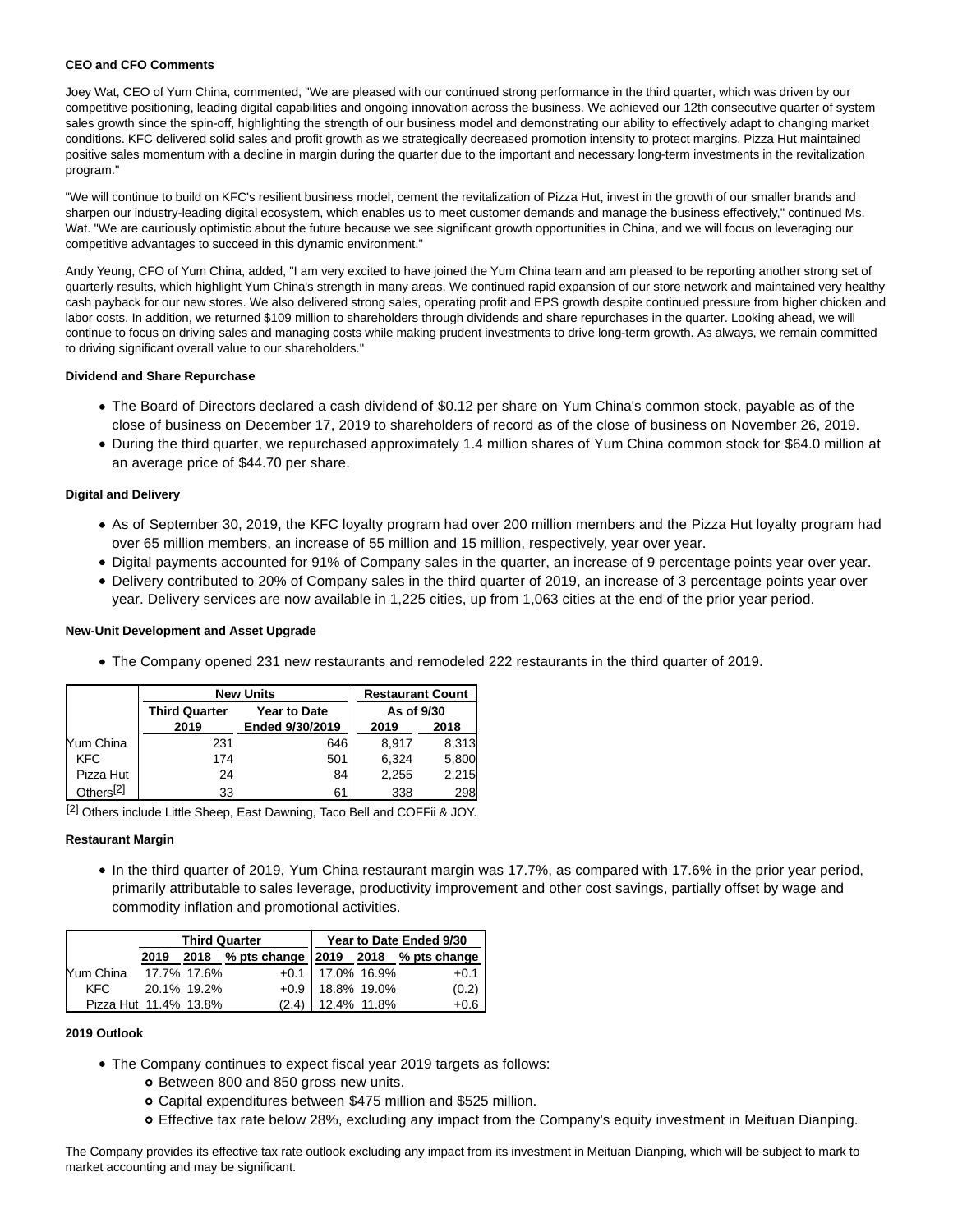#### **CEO and CFO Comments**

Joey Wat, CEO of Yum China, commented, "We are pleased with our continued strong performance in the third quarter, which was driven by our competitive positioning, leading digital capabilities and ongoing innovation across the business. We achieved our 12th consecutive quarter of system sales growth since the spin-off, highlighting the strength of our business model and demonstrating our ability to effectively adapt to changing market conditions. KFC delivered solid sales and profit growth as we strategically decreased promotion intensity to protect margins. Pizza Hut maintained positive sales momentum with a decline in margin during the quarter due to the important and necessary long-term investments in the revitalization program."

"We will continue to build on KFC's resilient business model, cement the revitalization of Pizza Hut, invest in the growth of our smaller brands and sharpen our industry-leading digital ecosystem, which enables us to meet customer demands and manage the business effectively," continued Ms. Wat. "We are cautiously optimistic about the future because we see significant growth opportunities in China, and we will focus on leveraging our competitive advantages to succeed in this dynamic environment."

Andy Yeung, CFO of Yum China, added, "I am very excited to have joined the Yum China team and am pleased to be reporting another strong set of quarterly results, which highlight Yum China's strength in many areas. We continued rapid expansion of our store network and maintained very healthy cash payback for our new stores. We also delivered strong sales, operating profit and EPS growth despite continued pressure from higher chicken and labor costs. In addition, we returned \$109 million to shareholders through dividends and share repurchases in the quarter. Looking ahead, we will continue to focus on driving sales and managing costs while making prudent investments to drive long-term growth. As always, we remain committed to driving significant overall value to our shareholders."

# **Dividend and Share Repurchase**

- The Board of Directors declared a cash dividend of \$0.12 per share on Yum China's common stock, payable as of the close of business on December 17, 2019 to shareholders of record as of the close of business on November 26, 2019.
- During the third quarter, we repurchased approximately 1.4 million shares of Yum China common stock for \$64.0 million at an average price of \$44.70 per share.

### **Digital and Delivery**

- As of September 30, 2019, the KFC loyalty program had over 200 million members and the Pizza Hut loyalty program had over 65 million members, an increase of 55 million and 15 million, respectively, year over year.
- Digital payments accounted for 91% of Company sales in the quarter, an increase of 9 percentage points year over year.
- Delivery contributed to 20% of Company sales in the third quarter of 2019, an increase of 3 percentage points year over year. Delivery services are now available in 1,225 cities, up from 1,063 cities at the end of the prior year period.

# **New-Unit Development and Asset Upgrade**

The Company opened 231 new restaurants and remodeled 222 restaurants in the third quarter of 2019.

|                       | <b>New Units</b>     | <b>Restaurant Count</b> |            |       |  |  |
|-----------------------|----------------------|-------------------------|------------|-------|--|--|
|                       | <b>Third Quarter</b> | <b>Year to Date</b>     | As of 9/30 |       |  |  |
|                       | 2019                 | Ended 9/30/2019         | 2019       | 2018  |  |  |
| Yum China             | 231                  | 646                     | 8.917      | 8.313 |  |  |
| <b>KFC</b>            | 174                  | 501                     | 6.324      | 5,800 |  |  |
| Pizza Hut             | 24                   | 84                      | 2.255      | 2,215 |  |  |
| Others <sup>[2]</sup> | 33                   | 61                      | 338        | 298   |  |  |

[2] Others include Little Sheep, East Dawning, Taco Bell and COFFii & JOY.

### **Restaurant Margin**

In the third quarter of 2019, Yum China restaurant margin was 17.7%, as compared with 17.6% in the prior year period, primarily attributable to sales leverage, productivity improvement and other cost savings, partially offset by wage and commodity inflation and promotional activities.

|                       |      | <b>Third Quarter</b> | Year to Date Ended 9/30                  |                      |             |        |  |  |  |  |
|-----------------------|------|----------------------|------------------------------------------|----------------------|-------------|--------|--|--|--|--|
|                       | 2019 |                      | 2018 % pts change 2019 2018 % pts change |                      |             |        |  |  |  |  |
| <b>Yum China</b>      |      | 17.7% 17.6%          |                                          | $+0.1$   17.0% 16.9% |             | $+0.1$ |  |  |  |  |
| KFC.                  |      | 20.1% 19.2%          |                                          | $+0.9$   18.8% 19.0% |             | (0.2)  |  |  |  |  |
| Pizza Hut 11.4% 13.8% |      |                      | (2.4)                                    |                      | 12.4% 11.8% | $+0.6$ |  |  |  |  |

#### **2019 Outlook**

- The Company continues to expect fiscal year 2019 targets as follows:
	- o Between 800 and 850 gross new units.
	- Capital expenditures between \$475 million and \$525 million.
	- Effective tax rate below 28%, excluding any impact from the Company's equity investment in Meituan Dianping.

The Company provides its effective tax rate outlook excluding any impact from its investment in Meituan Dianping, which will be subject to mark to market accounting and may be significant.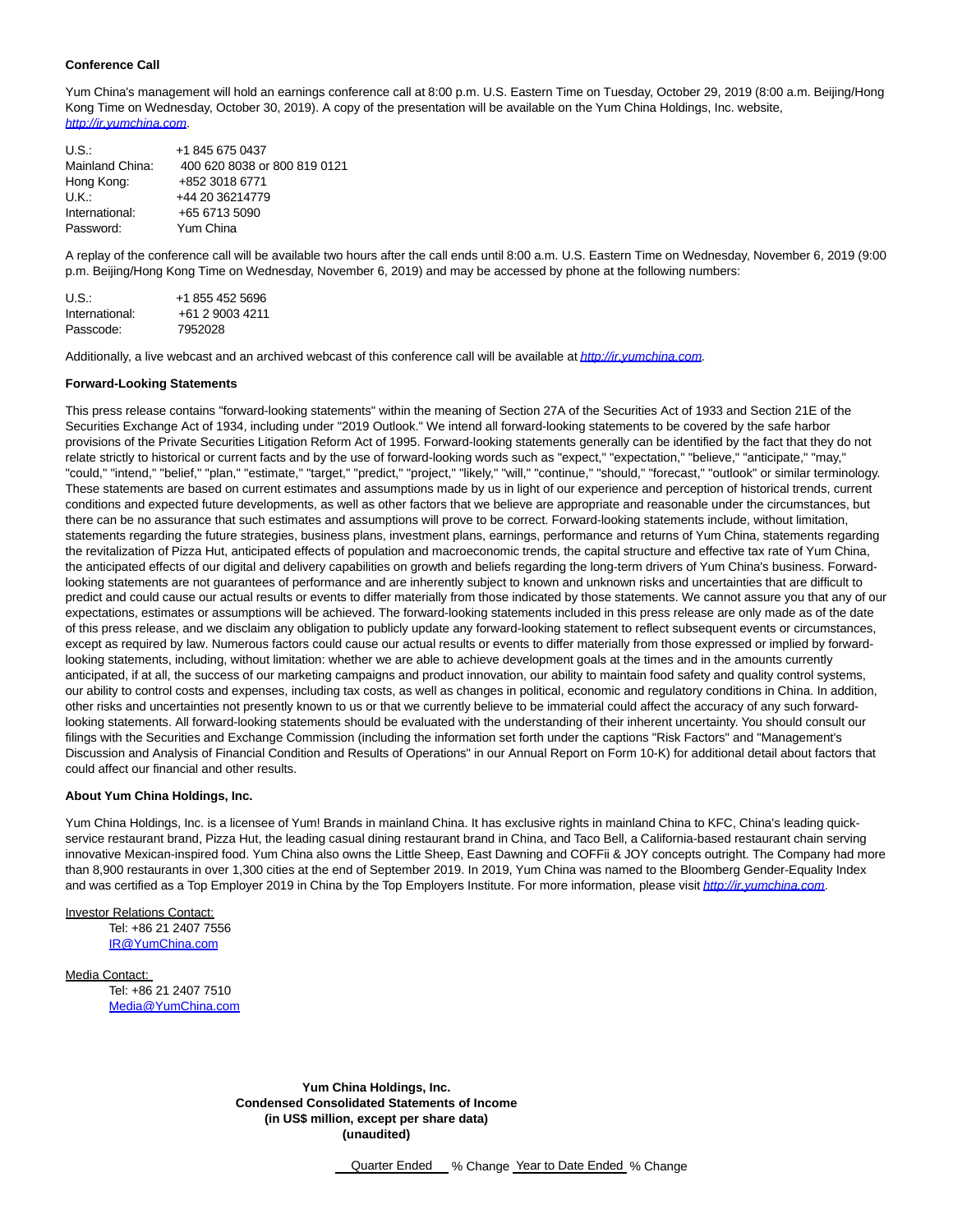#### **Conference Call**

Yum China's management will hold an earnings conference call at 8:00 p.m. U.S. Eastern Time on Tuesday, October 29, 2019 (8:00 a.m. Beijing/Hong Kong Time on Wednesday, October 30, 2019). A copy of the presentation will be available on the Yum China Holdings, Inc. website, [http://ir.yumchina.com](http://ir.yumchina.com/).

| U.S.:           | +1 845 675 0437              |
|-----------------|------------------------------|
| Mainland China: | 400 620 8038 or 800 819 0121 |
| Hong Kong:      | +852 3018 6771               |
| U.K.            | +44 20 36214779              |
| International:  | +65 6713 5090                |
| Password:       | Yum China                    |

A replay of the conference call will be available two hours after the call ends until 8:00 a.m. U.S. Eastern Time on Wednesday, November 6, 2019 (9:00 p.m. Beijing/Hong Kong Time on Wednesday, November 6, 2019) and may be accessed by phone at the following numbers:

| U.S.:          | +1 855 452 5696 |
|----------------|-----------------|
| International: | +61 2 9003 4211 |
| Passcode:      | 7952028         |

Additionally, a live webcast and an archived webcast of this conference call will be available at *[http://ir.yumchina.com.](http://ir.yumchina.com/)* 

#### **Forward-Looking Statements**

This press release contains "forward-looking statements" within the meaning of Section 27A of the Securities Act of 1933 and Section 21E of the Securities Exchange Act of 1934, including under "2019 Outlook." We intend all forward-looking statements to be covered by the safe harbor provisions of the Private Securities Litigation Reform Act of 1995. Forward-looking statements generally can be identified by the fact that they do not relate strictly to historical or current facts and by the use of forward-looking words such as "expect," "expectation," "believe," "anticipate," "may," "could," "intend," "belief," "plan," "estimate," "target," "predict," "project," "likely," "will," "continue," "should," "forecast," "outlook" or similar terminology. These statements are based on current estimates and assumptions made by us in light of our experience and perception of historical trends, current conditions and expected future developments, as well as other factors that we believe are appropriate and reasonable under the circumstances, but there can be no assurance that such estimates and assumptions will prove to be correct. Forward-looking statements include, without limitation, statements regarding the future strategies, business plans, investment plans, earnings, performance and returns of Yum China, statements regarding the revitalization of Pizza Hut, anticipated effects of population and macroeconomic trends, the capital structure and effective tax rate of Yum China, the anticipated effects of our digital and delivery capabilities on growth and beliefs regarding the long-term drivers of Yum China's business. Forwardlooking statements are not guarantees of performance and are inherently subject to known and unknown risks and uncertainties that are difficult to predict and could cause our actual results or events to differ materially from those indicated by those statements. We cannot assure you that any of our expectations, estimates or assumptions will be achieved. The forward-looking statements included in this press release are only made as of the date of this press release, and we disclaim any obligation to publicly update any forward-looking statement to reflect subsequent events or circumstances, except as required by law. Numerous factors could cause our actual results or events to differ materially from those expressed or implied by forwardlooking statements, including, without limitation: whether we are able to achieve development goals at the times and in the amounts currently anticipated, if at all, the success of our marketing campaigns and product innovation, our ability to maintain food safety and quality control systems, our ability to control costs and expenses, including tax costs, as well as changes in political, economic and regulatory conditions in China. In addition, other risks and uncertainties not presently known to us or that we currently believe to be immaterial could affect the accuracy of any such forwardlooking statements. All forward-looking statements should be evaluated with the understanding of their inherent uncertainty. You should consult our filings with the Securities and Exchange Commission (including the information set forth under the captions "Risk Factors" and "Management's Discussion and Analysis of Financial Condition and Results of Operations" in our Annual Report on Form 10-K) for additional detail about factors that could affect our financial and other results.

#### **About Yum China Holdings, Inc.**

Yum China Holdings, Inc. is a licensee of Yum! Brands in mainland China. It has exclusive rights in mainland China to KFC, China's leading quickservice restaurant brand, Pizza Hut, the leading casual dining restaurant brand in China, and Taco Bell, a California-based restaurant chain serving innovative Mexican-inspired food. Yum China also owns the Little Sheep, East Dawning and COFFii & JOY concepts outright. The Company had more than 8,900 restaurants in over 1,300 cities at the end of September 2019. In 2019, Yum China was named to the Bloomberg Gender-Equality Index and was certified as a Top Employer 2019 in China by the Top Employers Institute. For more information, please visit [http://ir.yumchina.com](http://ir.yumchina.com/).

Investor Relations Contact: Tel: +86 21 2407 7556 [IR@YumChina.com](mailto:IR@YumChina.com)

Media Contact: Tel: +86 21 2407 7510 [Media@YumChina.com](mailto:Media@YumChina.com)

> **Yum China Holdings, Inc. Condensed Consolidated Statements of Income (in US\$ million, except per share data) (unaudited)**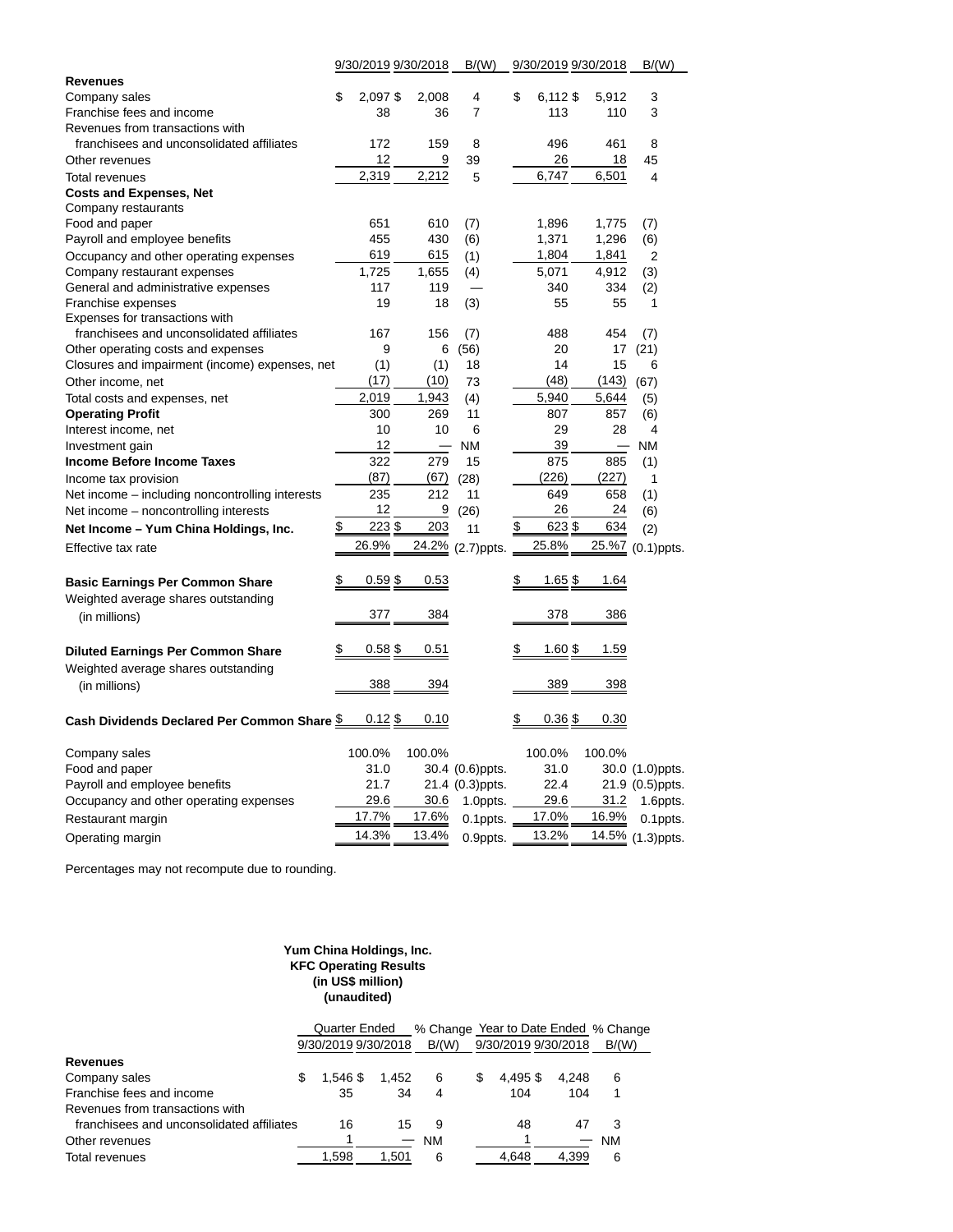|                                                 | 9/30/2019 9/30/2018 |        | B/(W)            | 9/30/2019 9/30/2018  |        | B/(W)            |
|-------------------------------------------------|---------------------|--------|------------------|----------------------|--------|------------------|
| <b>Revenues</b>                                 |                     |        |                  |                      |        |                  |
| Company sales                                   | \$<br>2,097\$       | 2,008  | 4                | \$<br>6,112\$        | 5,912  | 3                |
| Franchise fees and income                       | 38                  | 36     | 7                | 113                  | 110    | 3                |
| Revenues from transactions with                 |                     |        |                  |                      |        |                  |
| franchisees and unconsolidated affiliates       | 172                 | 159    | 8                | 496                  | 461    | 8                |
| Other revenues                                  | 12                  | 9      | 39               | 26                   | 18     | 45               |
| Total revenues                                  | 2,319               | 2,212  | 5                | 6,747                | 6,501  | 4                |
| <b>Costs and Expenses, Net</b>                  |                     |        |                  |                      |        |                  |
| Company restaurants                             |                     |        |                  |                      |        |                  |
| Food and paper                                  | 651                 | 610    | (7)              | 1,896                | 1,775  | (7)              |
| Payroll and employee benefits                   | 455                 | 430    | (6)              | 1,371                | 1,296  | (6)              |
| Occupancy and other operating expenses          | 619                 | 615    | (1)              | 1,804                | 1,841  | $\overline{2}$   |
| Company restaurant expenses                     | 1,725               | 1,655  | (4)              | 5,071                | 4,912  | (3)              |
| General and administrative expenses             | 117                 | 119    |                  | 340                  | 334    | (2)              |
| Franchise expenses                              | 19                  | 18     | (3)              | 55                   | 55     | 1                |
| Expenses for transactions with                  |                     |        |                  |                      |        |                  |
| franchisees and unconsolidated affiliates       | 167                 | 156    | (7)              | 488                  | 454    | (7)              |
| Other operating costs and expenses              | 9                   | 6      | (56)             | 20                   | 17     | (21)             |
| Closures and impairment (income) expenses, net  | (1)                 | (1)    | 18               | 14                   | 15     | 6                |
| Other income, net                               | (17)                | (10)   | 73               | (48)                 | (143)  | (67)             |
| Total costs and expenses, net                   | 2,019               | 1,943  | (4)              | 5,940                | 5,644  | (5)              |
| <b>Operating Profit</b>                         | 300                 | 269    | 11               | 807                  | 857    | (6)              |
| Interest income, net                            | 10                  | 10     | 6                | 29                   | 28     | 4                |
| Investment gain                                 | 12                  |        | <b>NM</b>        | 39                   |        | <b>NM</b>        |
| <b>Income Before Income Taxes</b>               | 322                 | 279    | 15               | 875                  | 885    | (1)              |
| Income tax provision                            | (87)                | (67)   | (28)             | (226)                | (227)  | 1                |
| Net income – including noncontrolling interests | 235                 | 212    | 11               | 649                  | 658    | (1)              |
| Net income - noncontrolling interests           | 12                  | 9      | (26)             | 26                   | 24     | (6)              |
| Net Income - Yum China Holdings, Inc.           | \$<br>223\$         | 203    | 11               | \$<br>623 \$         | 634    | (2)              |
| Effective tax rate                              | 26.9%               |        | 24.2% (2.7)ppts. | 25.8%                |        | 25.%7 (0.1)ppts. |
|                                                 |                     |        |                  |                      |        |                  |
|                                                 | \$<br>$0.59$ \$     | 0.53   |                  | \$<br>1.65 \$        | 1.64   |                  |
| <b>Basic Earnings Per Common Share</b>          |                     |        |                  |                      |        |                  |
| Weighted average shares outstanding             |                     |        |                  |                      |        |                  |
| (in millions)                                   | 377                 | 384    |                  | 378                  | 386    |                  |
|                                                 |                     |        |                  |                      |        |                  |
| <b>Diluted Earnings Per Common Share</b>        | \$<br>$0.58$ \$     | 0.51   |                  | \$<br>1.60\$         | 1.59   |                  |
| Weighted average shares outstanding             |                     |        |                  |                      |        |                  |
| (in millions)                                   | 388                 | 394    |                  | 389                  | 398    |                  |
|                                                 |                     |        |                  |                      |        |                  |
| Cash Dividends Declared Per Common Share \$     | 0.12 \$             | 0.10   |                  | \$<br><u>0.36 \$</u> | 0.30   |                  |
|                                                 |                     |        |                  |                      |        |                  |
| Company sales                                   | 100.0%              | 100.0% |                  | 100.0%               | 100.0% |                  |
| Food and paper                                  | 31.0                |        | 30.4 (0.6)ppts.  | 31.0                 |        | 30.0 (1.0)ppts.  |
| Payroll and employee benefits                   | 21.7                |        | 21.4 (0.3)ppts.  | 22.4                 |        | 21.9 (0.5)ppts.  |
| Occupancy and other operating expenses          | 29.6                | 30.6   | 1.0ppts.         | 29.6                 | 31.2   | 1.6ppts.         |
| Restaurant margin                               | 17.7%               | 17.6%  | 0.1ppts.         | 17.0%                | 16.9%  | 0.1ppts.         |
| Operating margin                                | 14.3%               | 13.4%  | 0.9ppts.         | 13.2%                |        | 14.5% (1.3)ppts. |
|                                                 |                     |        |                  |                      |        |                  |

Percentages may not recompute due to rounding.

#### **Yum China Holdings, Inc. KFC Operating Results (in US\$ million) (unaudited)**

|                                           |   |          | Quarter Ended<br>9/30/2019 9/30/2018 |    | % Change Year to Date Ended % Change<br>B/(W) |   |         | 9/30/2019 9/30/2018      | B/(W)     |  |
|-------------------------------------------|---|----------|--------------------------------------|----|-----------------------------------------------|---|---------|--------------------------|-----------|--|
| <b>Revenues</b>                           |   |          |                                      |    |                                               |   |         |                          |           |  |
| Company sales                             | S | 1.546 \$ | 1.452                                |    | 6                                             | S | 4.495\$ | 4.248                    | 6         |  |
| Franchise fees and income                 |   | 35       |                                      | 34 | 4                                             |   | 104     | 104                      |           |  |
| Revenues from transactions with           |   |          |                                      |    |                                               |   |         |                          |           |  |
| franchisees and unconsolidated affiliates |   | 16       |                                      | 15 | 9                                             |   | 48      | 47                       | 3         |  |
| Other revenues                            |   |          |                                      |    | $-$ NM                                        |   |         | $\overline{\phantom{0}}$ | <b>NM</b> |  |
| Total revenues                            |   | 1,598    | 1.501                                |    | 6                                             |   | 4.648   | 4.399                    | 6         |  |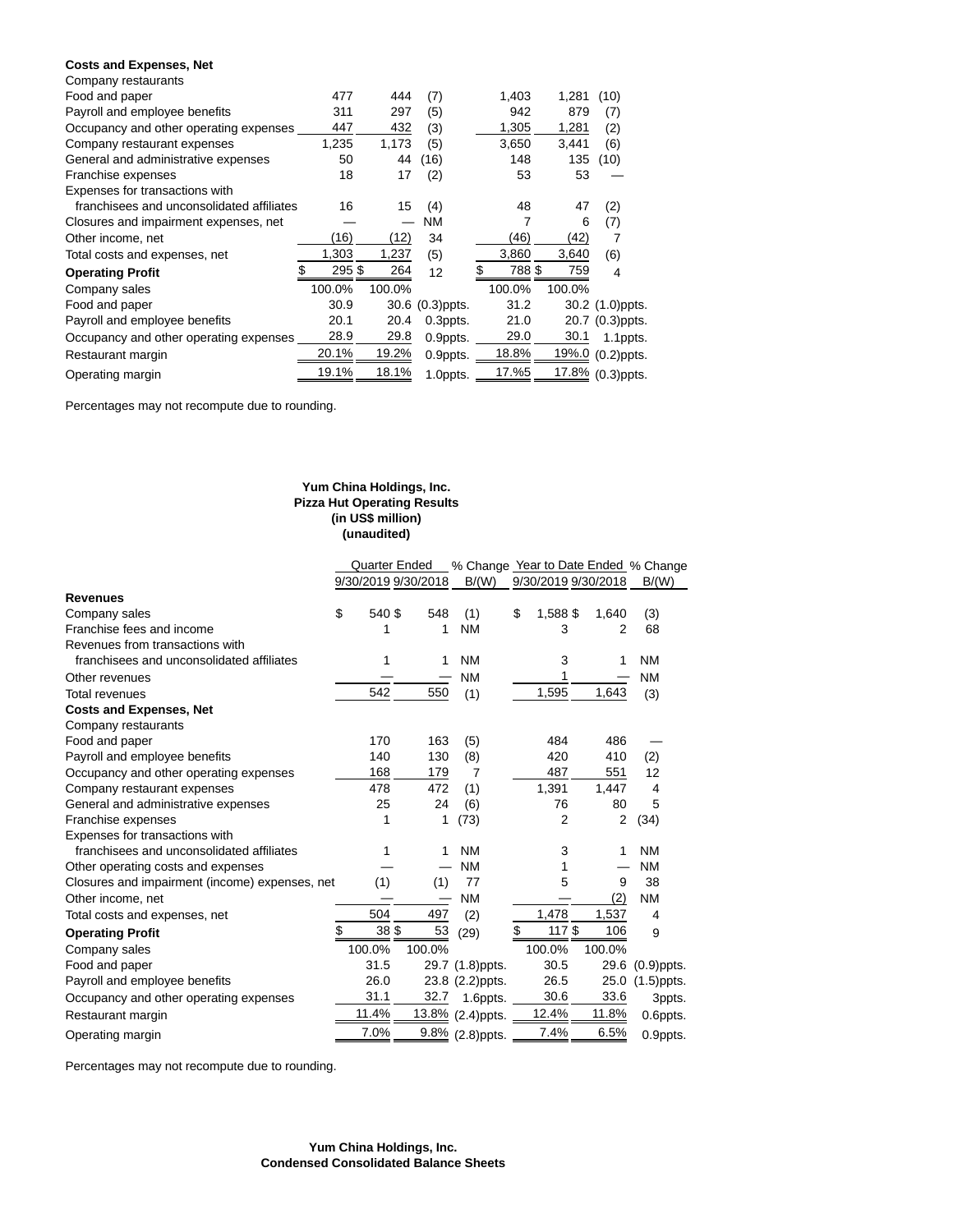#### **Costs and Expenses, Net**

| 477                                    | 444                                                                                 | (7)                  | 1,403                         | 1,281    | (10)             |
|----------------------------------------|-------------------------------------------------------------------------------------|----------------------|-------------------------------|----------|------------------|
| 311                                    | 297                                                                                 | (5)                  | 942                           | 879      | (7)              |
| 447                                    | 432                                                                                 | (3)                  | 1,305                         | 1,281    | (2)              |
| 1,235                                  |                                                                                     | (5)                  | 3,650                         | 3,441    | (6)              |
| 50                                     | 44                                                                                  | (16)                 | 148                           | 135      | (10)             |
| 18                                     | 17                                                                                  | (2)                  | 53                            | 53       |                  |
|                                        |                                                                                     |                      |                               |          |                  |
|                                        | 15                                                                                  | (4)                  | 48                            | 47       | (2)              |
|                                        |                                                                                     | NΜ                   |                               | 6        | (7)              |
| (16)                                   | (12)                                                                                | 34                   | (46)                          | (42)     | 7                |
| 1,303                                  | 1,237                                                                               | (5)                  | 3,860                         | 3,640    | (6)              |
|                                        | 264                                                                                 | 12                   |                               | 759      | 4                |
| 100.0%                                 | 100.0%                                                                              |                      | 100.0%                        | 100.0%   |                  |
| 30.9                                   |                                                                                     |                      | 31.2                          |          | 30.2 (1.0) ppts. |
| 20.1                                   | 20.4                                                                                | 0.3ppts.             | 21.0                          |          | 20.7 (0.3)ppts.  |
| 28.9                                   | 29.8                                                                                | 0.9ppts.             | 29.0                          | 30.1     | 1.1ppts.         |
|                                        | 19.2%                                                                               |                      | 18.8%                         | 19%.0    | $(0.2)$ ppts.    |
| 19.1%                                  | 18.1%                                                                               | 1.0ppts.             | 17.%5                         |          | 17.8% (0.3)ppts. |
| Occupancy and other operating expenses | Occupancy and other operating expenses<br>franchisees and unconsolidated affiliates | 16<br>295\$<br>20.1% | 1,173<br>$30.6$ $(0.3)$ ppts. | 0.9ppts. | 788\$            |

Percentages may not recompute due to rounding.

#### **Yum China Holdings, Inc. Pizza Hut Operating Results (in US\$ million) (unaudited)**

|                                                | <b>Quarter Ended</b> |                     |   |                    |                |                     | % Change Year to Date Ended % Change |
|------------------------------------------------|----------------------|---------------------|---|--------------------|----------------|---------------------|--------------------------------------|
|                                                |                      | 9/30/2019 9/30/2018 |   | B/(W)              |                | 9/30/2019 9/30/2018 | B/(W)                                |
| <b>Revenues</b>                                |                      |                     |   |                    |                |                     |                                      |
| Company sales                                  | \$<br>540 \$         | 548                 |   | (1)                | \$<br>1,588\$  | 1,640               | (3)                                  |
| Franchise fees and income                      | 1                    |                     | 1 | <b>NM</b>          | 3              | 2                   | 68                                   |
| Revenues from transactions with                |                      |                     |   |                    |                |                     |                                      |
| franchisees and unconsolidated affiliates      | 1                    |                     | 1 | <b>NM</b>          | 3              | 1                   | <b>NM</b>                            |
| Other revenues                                 |                      |                     |   | <b>NM</b>          | 1              |                     | <b>NM</b>                            |
| <b>Total revenues</b>                          | 542                  | 550                 |   | (1)                | 1,595          | 1,643               | (3)                                  |
| <b>Costs and Expenses, Net</b>                 |                      |                     |   |                    |                |                     |                                      |
| Company restaurants                            |                      |                     |   |                    |                |                     |                                      |
| Food and paper                                 | 170                  | 163                 |   | (5)                | 484            | 486                 |                                      |
| Payroll and employee benefits                  | 140                  | 130                 |   | (8)                | 420            | 410                 | (2)                                  |
| Occupancy and other operating expenses         | 168                  | 179                 |   | $\overline{7}$     | 487            | 551                 | 12                                   |
| Company restaurant expenses                    | 478                  | 472                 |   | (1)                | 1,391          | 1,447               | $\overline{4}$                       |
| General and administrative expenses            | 25                   | 24                  |   | (6)                | 76             | 80                  | 5                                    |
| Franchise expenses                             | 1                    |                     | 1 | (73)               | $\overline{2}$ | 2                   | (34)                                 |
| Expenses for transactions with                 |                      |                     |   |                    |                |                     |                                      |
| franchisees and unconsolidated affiliates      | 1                    |                     |   | <b>NM</b>          | 3              | 1                   | <b>NM</b>                            |
| Other operating costs and expenses             |                      |                     |   | <b>NM</b>          | 1              |                     | <b>NM</b><br>38                      |
| Closures and impairment (income) expenses, net | (1)                  | (1)                 |   | 77                 | 5              | 9                   |                                      |
| Other income, net                              |                      |                     |   | <b>NM</b>          |                | (2)                 | <b>NM</b>                            |
| Total costs and expenses, net                  | 504                  | 497                 |   | (2)                | 1,478          | 1,537               | 4                                    |
| <b>Operating Profit</b>                        | \$<br>38\$           | 53                  |   | (29)               | \$<br>117\$    | 106                 | 9                                    |
| Company sales                                  | 100.0%               | 100.0%              |   |                    | 100.0%         | 100.0%              |                                      |
| Food and paper                                 | 31.5                 |                     |   | 29.7 (1.8) ppts.   | 30.5           | 29.6                | $(0.9)$ ppts.                        |
| Payroll and employee benefits                  | 26.0                 |                     |   | 23.8 (2.2)ppts.    | 26.5           | 25.0                | $(1.5)$ ppts.                        |
| Occupancy and other operating expenses         | 31.1                 | 32.7                |   | 1.6ppts.           | 30.6           | 33.6                | 3ppts.                               |
| Restaurant margin                              | 11.4%                |                     |   | 13.8% (2.4)ppts. _ | 12.4%          | 11.8%               | 0.6ppts.                             |
| Operating margin                               | 7.0%                 |                     |   | 9.8% (2.8)ppts.    | 7.4%           | 6.5%                | 0.9ppts.                             |

Percentages may not recompute due to rounding.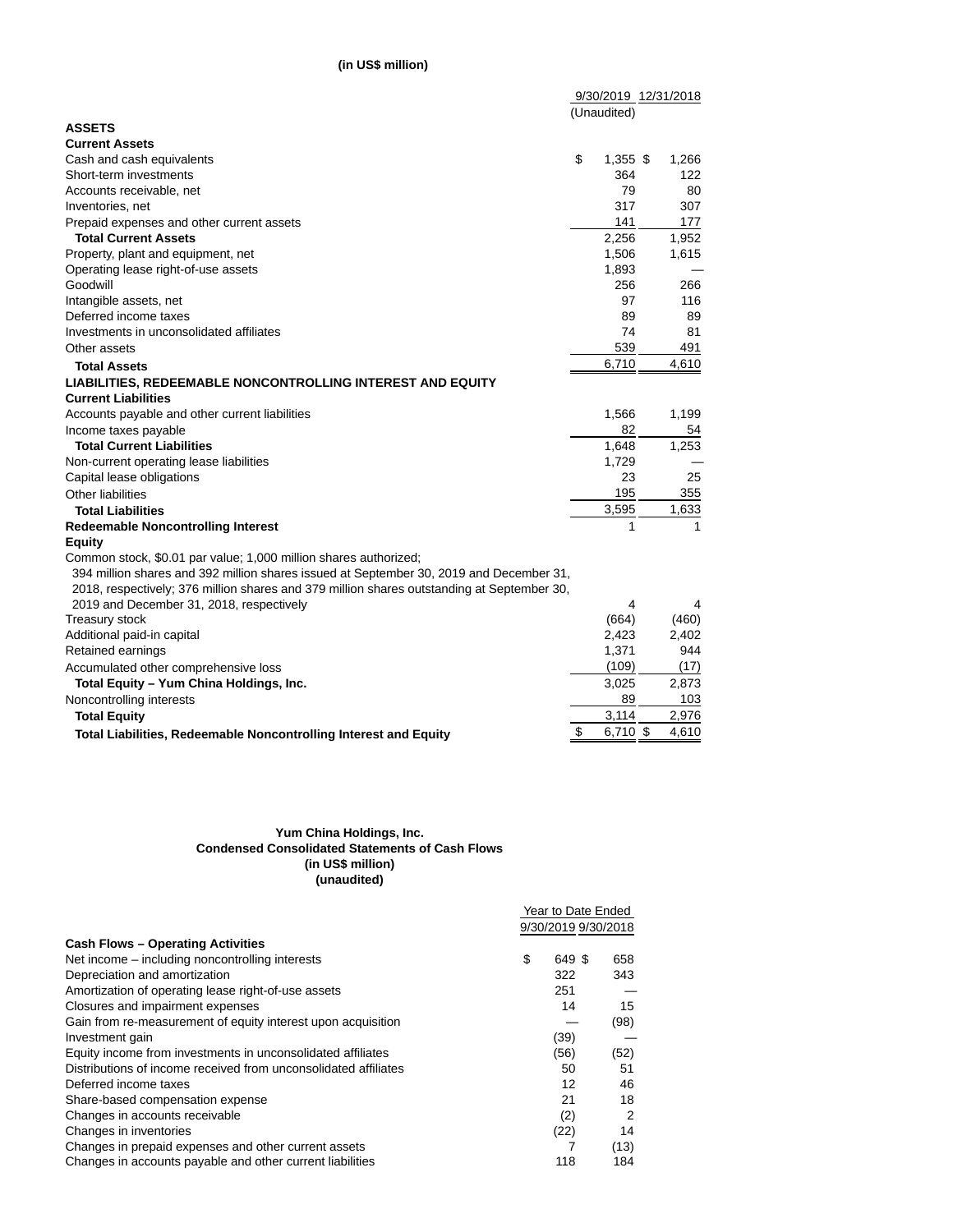# **(in US\$ million)**

|                                                                                            |                | 9/30/2019 12/31/2018 |
|--------------------------------------------------------------------------------------------|----------------|----------------------|
|                                                                                            | (Unaudited)    |                      |
| <b>ASSETS</b>                                                                              |                |                      |
| <b>Current Assets</b>                                                                      |                |                      |
| Cash and cash equivalents                                                                  | \$<br>1,355 \$ | 1,266                |
| Short-term investments                                                                     | 364            | 122                  |
| Accounts receivable, net                                                                   | 79             | 80                   |
| Inventories, net                                                                           | 317            | 307                  |
| Prepaid expenses and other current assets                                                  | 141            | 177                  |
| <b>Total Current Assets</b>                                                                | 2,256          | 1,952                |
| Property, plant and equipment, net                                                         | 1,506          | 1,615                |
| Operating lease right-of-use assets                                                        | 1,893          |                      |
| Goodwill                                                                                   | 256            | 266                  |
| Intangible assets, net                                                                     | 97             | 116                  |
| Deferred income taxes                                                                      | 89             | 89                   |
| Investments in unconsolidated affiliates                                                   | 74             | 81                   |
| Other assets                                                                               | 539            | 491                  |
| <b>Total Assets</b>                                                                        | 6,710          | 4,610                |
| LIABILITIES, REDEEMABLE NONCONTROLLING INTEREST AND EQUITY                                 |                |                      |
| <b>Current Liabilities</b>                                                                 |                |                      |
| Accounts payable and other current liabilities                                             | 1,566          | 1,199                |
| Income taxes payable                                                                       | 82             | 54                   |
| <b>Total Current Liabilities</b>                                                           | 1,648          | 1,253                |
| Non-current operating lease liabilities                                                    | 1,729          |                      |
| Capital lease obligations                                                                  | 23             | 25                   |
| Other liabilities                                                                          | 195            | 355                  |
| <b>Total Liabilities</b>                                                                   | 3,595          | 1,633                |
| <b>Redeemable Noncontrolling Interest</b>                                                  | 1              | 1                    |
| <b>Equity</b>                                                                              |                |                      |
| Common stock, \$0.01 par value; 1,000 million shares authorized;                           |                |                      |
| 394 million shares and 392 million shares issued at September 30, 2019 and December 31,    |                |                      |
| 2018, respectively; 376 million shares and 379 million shares outstanding at September 30, |                |                      |
| 2019 and December 31, 2018, respectively                                                   | 4              | 4                    |
| <b>Treasury stock</b>                                                                      | (664)          | (460)                |
| Additional paid-in capital                                                                 | 2,423          | 2,402                |
| Retained earnings                                                                          | 1,371          | 944                  |
| Accumulated other comprehensive loss                                                       | (109)          | (17)                 |
| Total Equity - Yum China Holdings, Inc.                                                    | 3,025          | 2,873                |
| Noncontrolling interests                                                                   | 89             | 103                  |
| <b>Total Equity</b>                                                                        | 3,114          | 2,976                |
|                                                                                            | \$<br>6,710 \$ | 4,610                |
| Total Liabilities, Redeemable Noncontrolling Interest and Equity                           |                |                      |

#### **Yum China Holdings, Inc. Condensed Consolidated Statements of Cash Flows (in US\$ million) (unaudited)**

| <b>Cash Flows - Operating Activities</b>                        | Year to Date Ended<br>9/30/2019 9/30/2018 |        |      |  |  |
|-----------------------------------------------------------------|-------------------------------------------|--------|------|--|--|
| Net income – including noncontrolling interests                 | \$                                        | 649 \$ | 658  |  |  |
| Depreciation and amortization                                   |                                           | 322    | 343  |  |  |
| Amortization of operating lease right-of-use assets             |                                           | 251    |      |  |  |
| Closures and impairment expenses                                |                                           | 14     | 15   |  |  |
| Gain from re-measurement of equity interest upon acquisition    |                                           |        | (98) |  |  |
| Investment gain                                                 |                                           | (39)   |      |  |  |
| Equity income from investments in unconsolidated affiliates     |                                           | (56)   | (52) |  |  |
| Distributions of income received from unconsolidated affiliates |                                           | 50     | 51   |  |  |
| Deferred income taxes                                           |                                           | 12     | 46   |  |  |
| Share-based compensation expense                                |                                           | 21     | 18   |  |  |
| Changes in accounts receivable                                  |                                           | (2)    | 2    |  |  |
| Changes in inventories                                          |                                           | (22)   | 14   |  |  |
| Changes in prepaid expenses and other current assets            |                                           |        | (13) |  |  |
| Changes in accounts payable and other current liabilities       |                                           | 118    | 184  |  |  |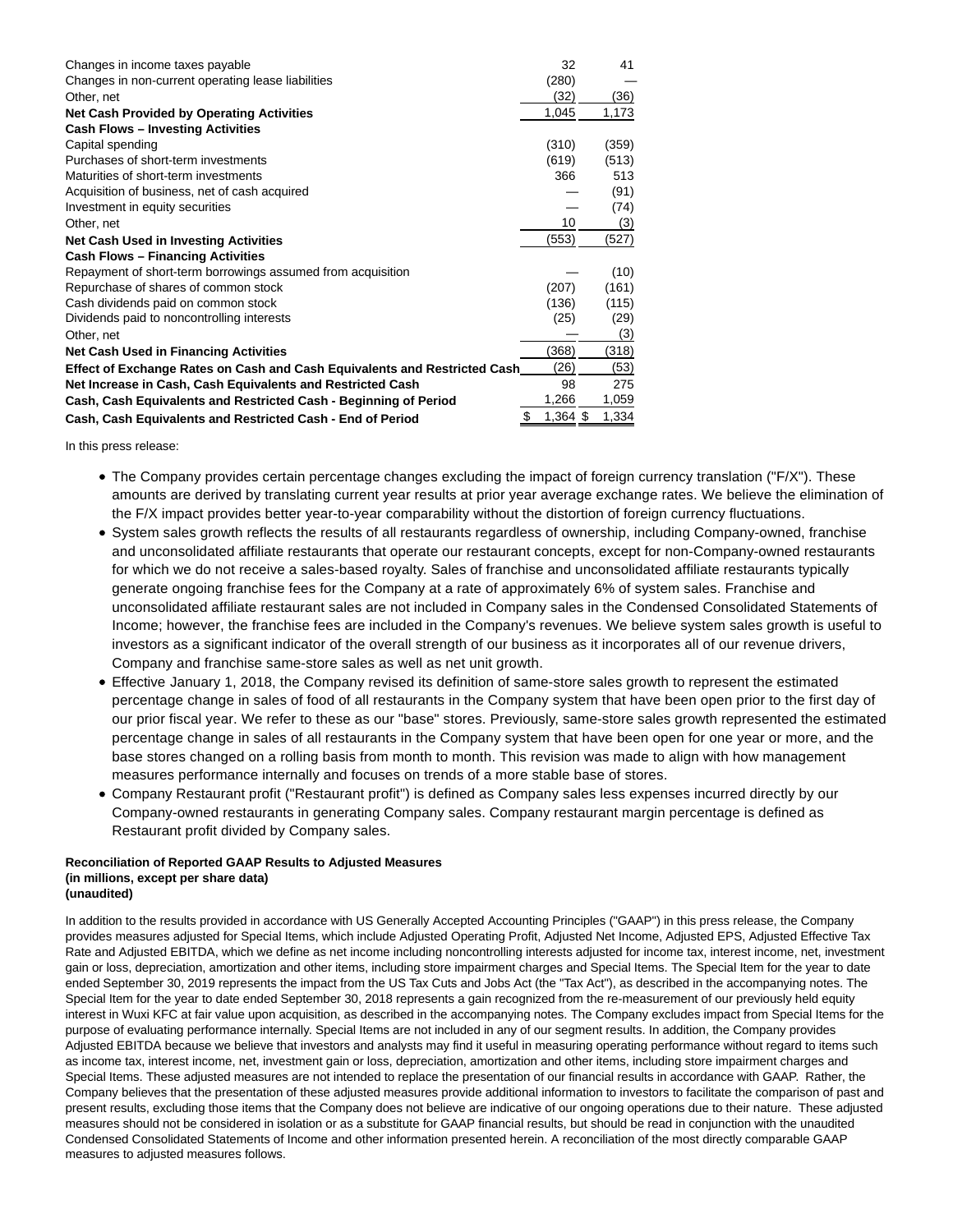| Changes in income taxes payable                                           | 32             | 41    |
|---------------------------------------------------------------------------|----------------|-------|
| Changes in non-current operating lease liabilities                        | (280)          |       |
| Other, net                                                                | (32)           | (36)  |
| <b>Net Cash Provided by Operating Activities</b>                          | 1,045          | 1,173 |
| <b>Cash Flows - Investing Activities</b>                                  |                |       |
| Capital spending                                                          | (310)          | (359) |
| Purchases of short-term investments                                       | (619)          | (513) |
| Maturities of short-term investments                                      | 366            | 513   |
| Acquisition of business, net of cash acquired                             |                | (91)  |
| Investment in equity securities                                           |                | (74)  |
| Other, net                                                                | 10             | (3)   |
| <b>Net Cash Used in Investing Activities</b>                              | (553)          | (527) |
| <b>Cash Flows - Financing Activities</b>                                  |                |       |
| Repayment of short-term borrowings assumed from acquisition               |                | (10)  |
| Repurchase of shares of common stock                                      | (207)          | (161) |
| Cash dividends paid on common stock                                       | (136)          | (115) |
| Dividends paid to noncontrolling interests                                | (25)           | (29)  |
| Other, net                                                                |                | (3)   |
| <b>Net Cash Used in Financing Activities</b>                              | (368)          | (318) |
| Effect of Exchange Rates on Cash and Cash Equivalents and Restricted Cash | (26)           | (53)  |
| Net Increase in Cash, Cash Equivalents and Restricted Cash                | 98             | 275   |
| Cash, Cash Equivalents and Restricted Cash - Beginning of Period          | 1,266          | 1,059 |
| Cash, Cash Equivalents and Restricted Cash - End of Period                | 1,364 \$<br>\$ | 1,334 |

In this press release:

- The Company provides certain percentage changes excluding the impact of foreign currency translation ("F/X"). These amounts are derived by translating current year results at prior year average exchange rates. We believe the elimination of the F/X impact provides better year-to-year comparability without the distortion of foreign currency fluctuations.
- System sales growth reflects the results of all restaurants regardless of ownership, including Company-owned, franchise and unconsolidated affiliate restaurants that operate our restaurant concepts, except for non-Company-owned restaurants for which we do not receive a sales-based royalty. Sales of franchise and unconsolidated affiliate restaurants typically generate ongoing franchise fees for the Company at a rate of approximately 6% of system sales. Franchise and unconsolidated affiliate restaurant sales are not included in Company sales in the Condensed Consolidated Statements of Income; however, the franchise fees are included in the Company's revenues. We believe system sales growth is useful to investors as a significant indicator of the overall strength of our business as it incorporates all of our revenue drivers, Company and franchise same-store sales as well as net unit growth.
- Effective January 1, 2018, the Company revised its definition of same-store sales growth to represent the estimated percentage change in sales of food of all restaurants in the Company system that have been open prior to the first day of our prior fiscal year. We refer to these as our "base" stores. Previously, same-store sales growth represented the estimated percentage change in sales of all restaurants in the Company system that have been open for one year or more, and the base stores changed on a rolling basis from month to month. This revision was made to align with how management measures performance internally and focuses on trends of a more stable base of stores.
- Company Restaurant profit ("Restaurant profit") is defined as Company sales less expenses incurred directly by our Company-owned restaurants in generating Company sales. Company restaurant margin percentage is defined as Restaurant profit divided by Company sales.

#### **Reconciliation of Reported GAAP Results to Adjusted Measures (in millions, except per share data) (unaudited)**

In addition to the results provided in accordance with US Generally Accepted Accounting Principles ("GAAP") in this press release, the Company provides measures adjusted for Special Items, which include Adjusted Operating Profit, Adjusted Net Income, Adjusted EPS, Adjusted Effective Tax Rate and Adjusted EBITDA, which we define as net income including noncontrolling interests adjusted for income tax, interest income, net, investment gain or loss, depreciation, amortization and other items, including store impairment charges and Special Items. The Special Item for the year to date ended September 30, 2019 represents the impact from the US Tax Cuts and Jobs Act (the "Tax Act"), as described in the accompanying notes. The Special Item for the year to date ended September 30, 2018 represents a gain recognized from the re-measurement of our previously held equity interest in Wuxi KFC at fair value upon acquisition, as described in the accompanying notes. The Company excludes impact from Special Items for the purpose of evaluating performance internally. Special Items are not included in any of our segment results. In addition, the Company provides Adjusted EBITDA because we believe that investors and analysts may find it useful in measuring operating performance without regard to items such as income tax, interest income, net, investment gain or loss, depreciation, amortization and other items, including store impairment charges and Special Items. These adjusted measures are not intended to replace the presentation of our financial results in accordance with GAAP. Rather, the Company believes that the presentation of these adjusted measures provide additional information to investors to facilitate the comparison of past and present results, excluding those items that the Company does not believe are indicative of our ongoing operations due to their nature. These adjusted measures should not be considered in isolation or as a substitute for GAAP financial results, but should be read in conjunction with the unaudited Condensed Consolidated Statements of Income and other information presented herein. A reconciliation of the most directly comparable GAAP measures to adjusted measures follows.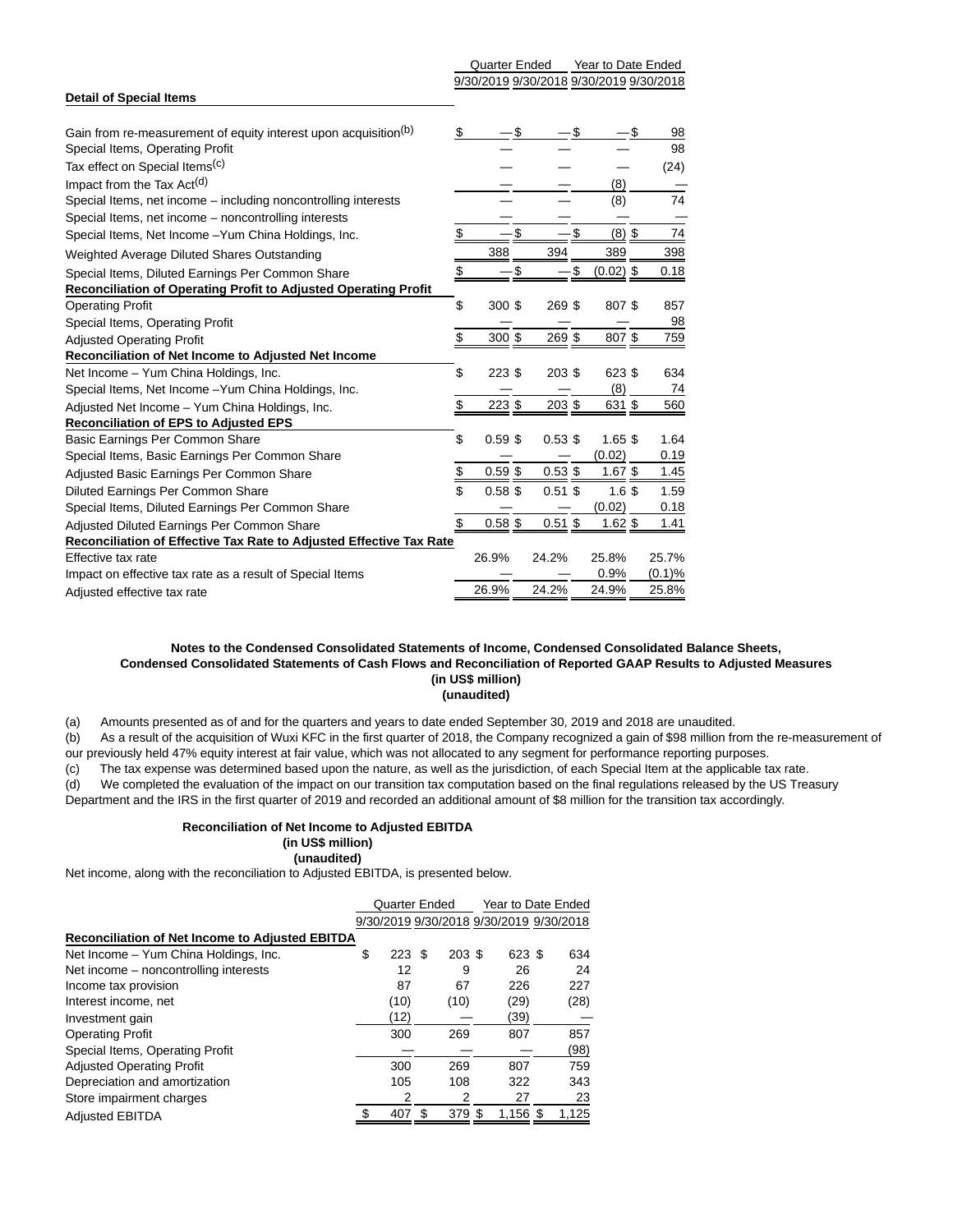|                                                                             |               |           |     |           |      | 9/30/2019 9/30/2018 9/30/2019 9/30/2018 |     |        |
|-----------------------------------------------------------------------------|---------------|-----------|-----|-----------|------|-----------------------------------------|-----|--------|
| <b>Detail of Special Items</b>                                              |               |           |     |           |      |                                         |     |        |
|                                                                             |               |           |     |           |      |                                         |     |        |
| Gain from re-measurement of equity interest upon acquisition <sup>(b)</sup> | $\frac{1}{2}$ |           | -\$ |           | - \$ |                                         | -\$ | 98     |
| Special Items, Operating Profit                                             |               |           |     |           |      |                                         |     | 98     |
| Tax effect on Special Items <sup>(c)</sup>                                  |               |           |     |           |      |                                         |     | (24)   |
| Impact from the Tax Act <sup>(d)</sup>                                      |               |           |     |           |      | (8)                                     |     |        |
| Special Items, net income - including noncontrolling interests              |               |           |     |           |      | (8)                                     |     | 74     |
| Special Items, net income - noncontrolling interests                        |               |           |     |           |      |                                         |     |        |
| Special Items, Net Income - Yum China Holdings, Inc.                        | \$            |           | \$  |           | \$   | $(8)$ \$                                |     | 74     |
| Weighted Average Diluted Shares Outstanding                                 |               | 388       |     | 394       |      | 389                                     |     | 398    |
| Special Items, Diluted Earnings Per Common Share                            | \$            |           | -\$ |           | \$   | $(0.02)$ \$                             |     | 0.18   |
| Reconciliation of Operating Profit to Adjusted Operating Profit             |               |           |     |           |      |                                         |     |        |
| <b>Operating Profit</b>                                                     | \$            | 300 \$    |     | 269 \$    |      | 807\$                                   |     | 857    |
| Special Items, Operating Profit                                             |               |           |     |           |      |                                         |     | 98     |
| <b>Adjusted Operating Profit</b>                                            | \$            | $300$ \$  |     | 269 \$    |      | 807 \$                                  |     | 759    |
| Reconciliation of Net Income to Adjusted Net Income                         |               |           |     |           |      |                                         |     |        |
| Net Income - Yum China Holdings, Inc.                                       | \$            | 223 \$    |     | 203 \$    |      | 623 \$                                  |     | 634    |
| Special Items, Net Income - Yum China Holdings, Inc.                        |               |           |     |           |      | (8)                                     |     | 74     |
| Adjusted Net Income - Yum China Holdings, Inc.                              | \$            | 223 \$    |     | 203 \$    |      | 631 \$                                  |     | 560    |
| <b>Reconciliation of EPS to Adjusted EPS</b>                                |               |           |     |           |      |                                         |     |        |
| Basic Earnings Per Common Share                                             | \$            | $0.59$ \$ |     | $0.53$ \$ |      | $1.65$ \$                               |     | 1.64   |
| Special Items, Basic Earnings Per Common Share                              |               |           |     |           |      | (0.02)                                  |     | 0.19   |
| Adjusted Basic Earnings Per Common Share                                    | $\frac{1}{2}$ | $0.59$ \$ |     | $0.53$ \$ |      | $1.67$ \$                               |     | 1.45   |
| Diluted Earnings Per Common Share                                           | \$.           | $0.58$ \$ |     | $0.51$ \$ |      | 1.6 <sup>5</sup>                        |     | 1.59   |
| Special Items, Diluted Earnings Per Common Share                            |               |           |     |           |      | (0.02)                                  |     | 0.18   |
| Adjusted Diluted Earnings Per Common Share                                  |               | $0.58$ \$ |     | $0.51$ \$ |      | $1.62$ \$                               |     | 1.41   |
| Reconciliation of Effective Tax Rate to Adjusted Effective Tax Rate         |               |           |     |           |      |                                         |     |        |
| Effective tax rate                                                          |               | 26.9%     |     | 24.2%     |      | 25.8%                                   |     | 25.7%  |
| Impact on effective tax rate as a result of Special Items                   |               |           |     |           |      | 0.9%                                    |     | (0.1)% |
| Adjusted effective tax rate                                                 |               | 26.9%     |     | 24.2%     |      | 24.9%                                   |     | 25.8%  |

#### **Notes to the Condensed Consolidated Statements of Income, Condensed Consolidated Balance Sheets, Condensed Consolidated Statements of Cash Flows and Reconciliation of Reported GAAP Results to Adjusted Measures (in US\$ million) (unaudited)**

Quarter Ended Year to Date Ended

(a) Amounts presented as of and for the quarters and years to date ended September 30, 2019 and 2018 are unaudited.

(b) As a result of the acquisition of Wuxi KFC in the first quarter of 2018, the Company recognized a gain of \$98 million from the re-measurement of our previously held 47% equity interest at fair value, which was not allocated to any segment for performance reporting purposes.

(c) The tax expense was determined based upon the nature, as well as the jurisdiction, of each Special Item at the applicable tax rate.

(d) We completed the evaluation of the impact on our transition tax computation based on the final regulations released by the US Treasury Department and the IRS in the first quarter of 2019 and recorded an additional amount of \$8 million for the transition tax accordingly.

#### **Reconciliation of Net Income to Adjusted EBITDA (in US\$ million)**

**(unaudited)**

Net income, along with the reconciliation to Adjusted EBITDA, is presented below.

|                                                        | Quarter Ended |      |     |        |            | Year to Date Ended                      |
|--------------------------------------------------------|---------------|------|-----|--------|------------|-----------------------------------------|
|                                                        |               |      |     |        |            | 9/30/2019 9/30/2018 9/30/2019 9/30/2018 |
| <b>Reconciliation of Net Income to Adjusted EBITDA</b> |               |      |     |        |            |                                         |
| Net Income - Yum China Holdings, Inc.                  | \$            | 223  | \$. | 203S   | 623 \$     | 634                                     |
| Net income – noncontrolling interests                  |               | 12   |     | 9      | 26         | 24                                      |
| Income tax provision                                   |               | 87   |     | 67     | 226        | 227                                     |
| Interest income, net                                   |               | (10) |     | (10)   | (29)       | (28)                                    |
| Investment gain                                        |               | (12) |     |        | (39)       |                                         |
| <b>Operating Profit</b>                                |               | 300  |     | 269    | 807        | 857                                     |
| Special Items, Operating Profit                        |               |      |     |        |            | (98)                                    |
| <b>Adjusted Operating Profit</b>                       |               | 300  |     | 269    | 807        | 759                                     |
| Depreciation and amortization                          |               | 105  |     | 108    | 322        | 343                                     |
| Store impairment charges                               |               | 2    |     | 2      | 27         | 23                                      |
| <b>Adiusted EBITDA</b>                                 |               | 407  |     | 379 \$ | $1.156$ \$ | 1,125                                   |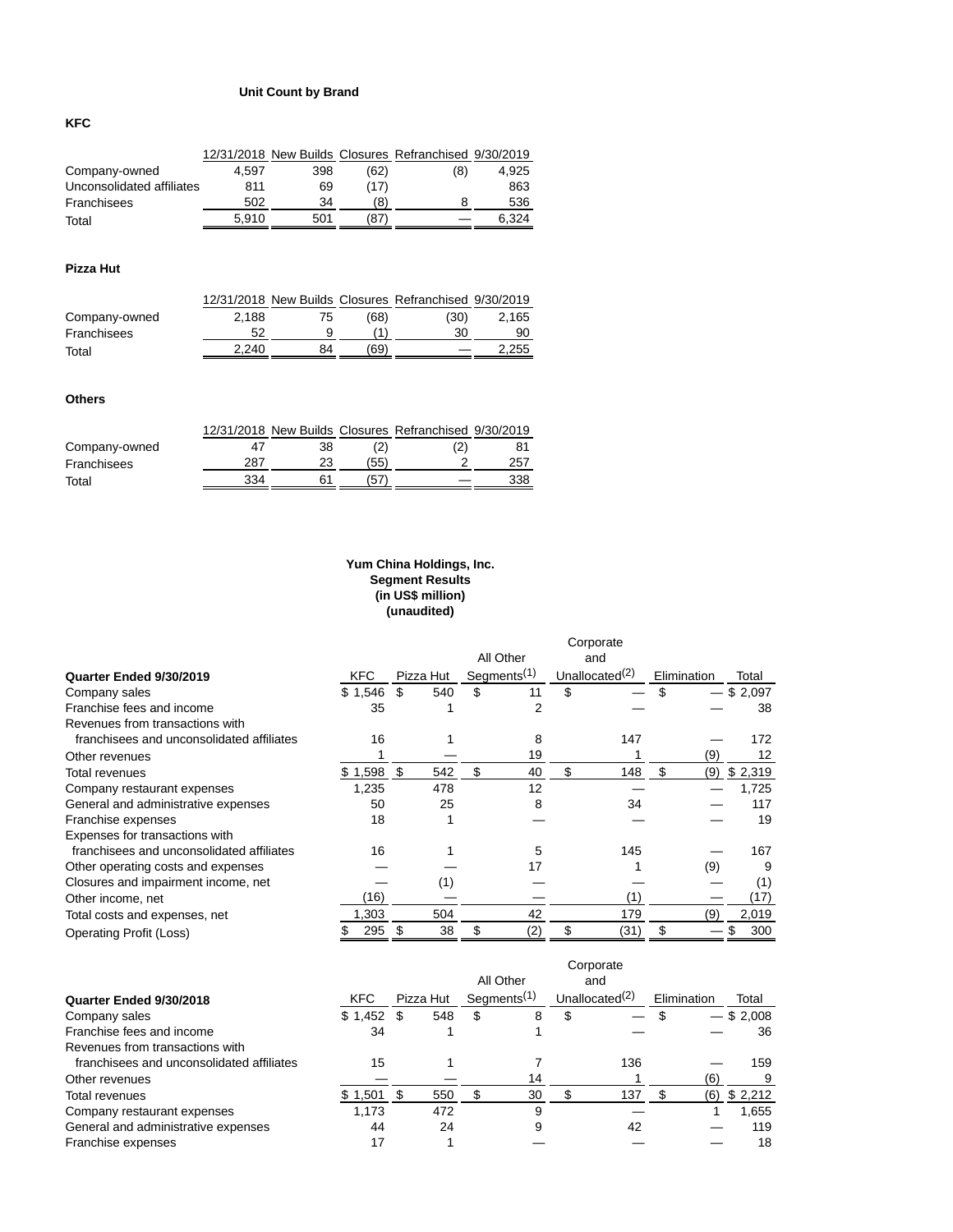# **Unit Count by Brand**

# **KFC**

|                           |       |     |      | 12/31/2018 New Builds Closures Refranchised 9/30/2019 |       |
|---------------------------|-------|-----|------|-------------------------------------------------------|-------|
| Company-owned             | 4.597 | 398 | (62) | (8)                                                   | 4.925 |
| Unconsolidated affiliates | 811   | 69  | (17) |                                                       | 863   |
| <b>Franchisees</b>        | 502   | 34  | '8)  |                                                       | 536   |
| Total                     | 5.910 | 501 | (87) |                                                       | 6.324 |

### **Pizza Hut**

|                    |       |    |      | 12/31/2018 New Builds Closures Refranchised 9/30/2019 |       |
|--------------------|-------|----|------|-------------------------------------------------------|-------|
| Company-owned      | 2.188 | 75 | (68) | (30)                                                  | 2.165 |
| <b>Franchisees</b> | 52    |    |      | 30                                                    | 90    |
| Total              | 2.240 | 84 | (69) |                                                       | 2,255 |

# **Others**

|               |     |    |      | 12/31/2018 New Builds Closures Refranchised 9/30/2019 |     |
|---------------|-----|----|------|-------------------------------------------------------|-----|
| Company-owned |     | 38 |      |                                                       |     |
| Franchisees   | 287 |    | (55) |                                                       | 257 |
| Total         | 334 |    | 57   |                                                       | 338 |

#### **Yum China Holdings, Inc. Segment Results (in US\$ million) (unaudited)**

|                                           |            |           |    | All Other               | Corporate<br>and  |                                       |         |
|-------------------------------------------|------------|-----------|----|-------------------------|-------------------|---------------------------------------|---------|
| Quarter Ended 9/30/2019                   | <b>KFC</b> | Pizza Hut |    | Segments <sup>(1)</sup> | Unallocated $(2)$ | Elimination                           | Total   |
| Company sales                             | \$1,546    | \$<br>540 | \$ | 11                      | \$                | \$<br>$\hspace{0.1mm}-\hspace{0.1mm}$ | \$2,097 |
| Franchise fees and income                 | 35         |           |    | 2                       |                   |                                       | 38      |
| Revenues from transactions with           |            |           |    |                         |                   |                                       |         |
| franchisees and unconsolidated affiliates | 16         |           |    | 8                       | 147               |                                       | 172     |
| Other revenues                            |            |           |    | 19                      |                   | (9)                                   | 12      |
| Total revenues                            | \$1,598    | \$<br>542 | \$ | 40                      | \$<br>148         | \$<br>(9)                             | \$2,319 |
| Company restaurant expenses               | 1,235      | 478       |    | 12                      |                   |                                       | 1,725   |
| General and administrative expenses       | 50         | 25        |    | 8                       | 34                |                                       | 117     |
| Franchise expenses                        | 18         |           |    |                         |                   |                                       | 19      |
| Expenses for transactions with            |            |           |    |                         |                   |                                       |         |
| franchisees and unconsolidated affiliates | 16         |           |    | 5                       | 145               |                                       | 167     |
| Other operating costs and expenses        |            |           |    | 17                      |                   | (9)                                   | 9       |
| Closures and impairment income, net       |            | (1)       |    |                         |                   |                                       | (1)     |
| Other income, net                         | (16)       |           |    |                         |                   |                                       | (17)    |
| Total costs and expenses, net             | 1,303      | 504       |    | 42                      | 179               | (9)                                   | 2,019   |
| <b>Operating Profit (Loss)</b>            | 295        | \$<br>38  | S  | (2)                     | (31)              | \$                                    | 300     |

|                                           |            |            | All Other               | and                           |                      |
|-------------------------------------------|------------|------------|-------------------------|-------------------------------|----------------------|
| Quarter Ended 9/30/2018                   | <b>KFC</b> | Pizza Hut  | Segments <sup>(1)</sup> | Unallocated <sup>(2)</sup>    | Elimination<br>Total |
| Company sales                             | \$1,452    | 548<br>\$. | S<br>8                  | S<br>$\overline{\phantom{0}}$ | $-$ \$ 2,008         |
| Franchise fees and income                 | 34         |            |                         |                               | 36                   |
| Revenues from transactions with           |            |            |                         |                               |                      |
| franchisees and unconsolidated affiliates | 15         |            |                         | 136                           | 159                  |
| Other revenues                            |            |            | 14                      |                               | (6)<br>9             |
| Total revenues                            | 1,501      | 550<br>\$. | 30                      | 137                           | \$2.212<br>(6)       |
| Company restaurant expenses               | 1.173      | 472        | 9                       |                               | .655                 |
| General and administrative expenses       | 44         | 24         | 9                       | 42                            | 119                  |
| Franchise expenses                        | 17         |            |                         |                               | 18                   |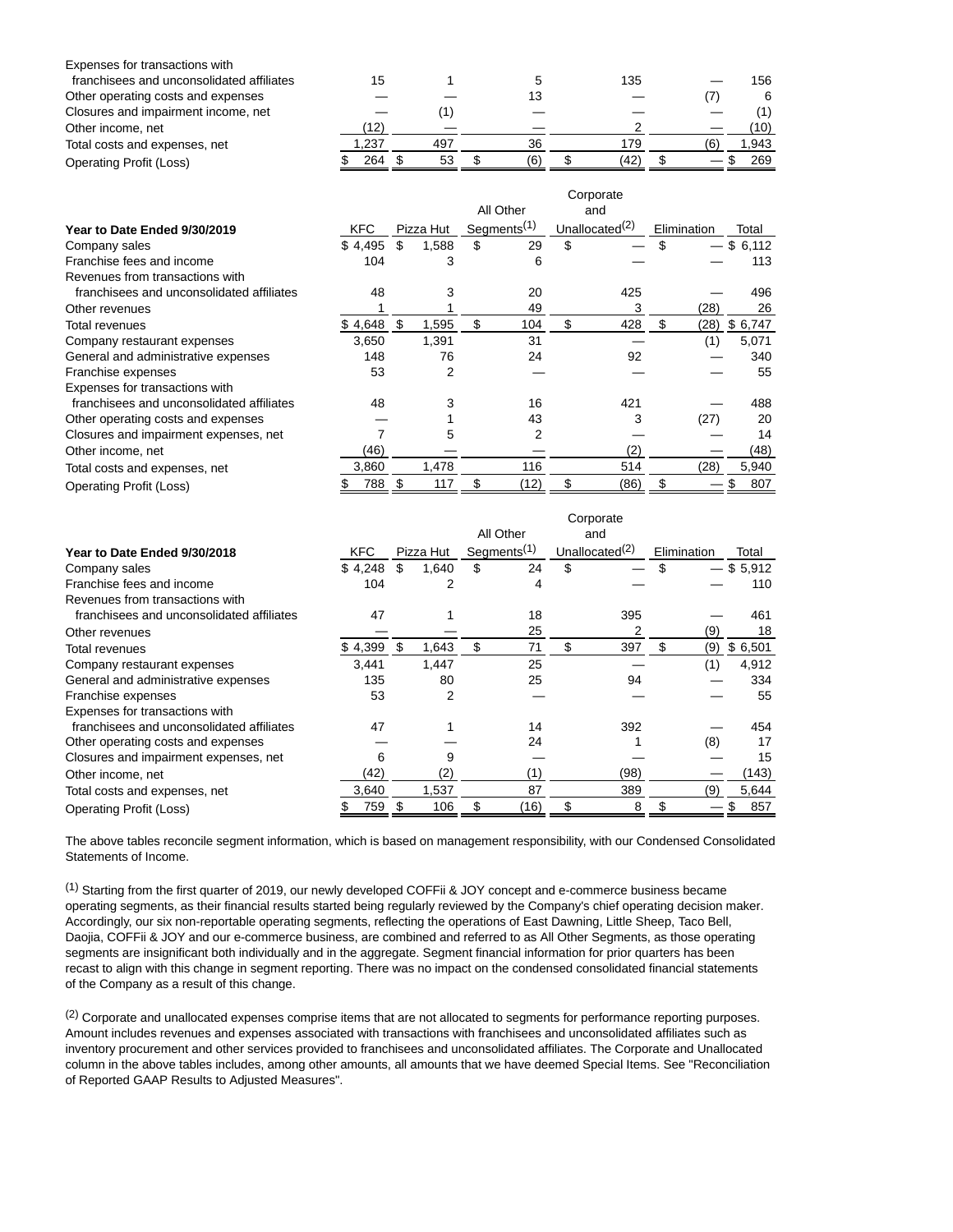| Expenses for transactions with            |       |     |    |      |    |       |
|-------------------------------------------|-------|-----|----|------|----|-------|
| franchisees and unconsolidated affiliates |       |     |    | 135  |    | 156   |
| Other operating costs and expenses        |       |     | 13 |      |    | 6     |
| Closures and impairment income, net       |       |     |    |      |    |       |
| Other income, net                         | 12    |     |    |      |    | (10   |
| Total costs and expenses, net             | 1,237 | 497 | 36 | 179  | (6 | 1.943 |
| <b>Operating Profit (Loss)</b>            | 264   | 53  |    | (42) |    | 269   |

Corporate

|                                           |         |             |    |                         |                   | <b>COIPUIQIC</b> |             |                   |         |  |
|-------------------------------------------|---------|-------------|----|-------------------------|-------------------|------------------|-------------|-------------------|---------|--|
|                                           |         |             |    | All Other               | and               |                  |             |                   |         |  |
| Year to Date Ended 9/30/2019              | KFC     | Pizza Hut   |    | Segments <sup>(1)</sup> | Unallocated $(2)$ |                  | Elimination |                   | Total   |  |
| Company sales                             | \$4,495 | \$<br>1,588 | \$ | 29                      | S                 |                  |             | $\hspace{0.05cm}$ | \$6,112 |  |
| Franchise fees and income                 | 104     | 3           |    | 6                       |                   |                  |             |                   | 113     |  |
| Revenues from transactions with           |         |             |    |                         |                   |                  |             |                   |         |  |
| franchisees and unconsolidated affiliates | 48      | 3           |    | 20                      |                   | 425              |             |                   | 496     |  |
| Other revenues                            |         |             |    | 49                      |                   | 3                |             | (28)              | 26      |  |
| Total revenues                            | 4,648   | \$<br>1,595 | \$ | 104                     | S                 | 428              | \$          | (28)              | \$6,747 |  |
| Company restaurant expenses               | 3,650   | 1,391       |    | 31                      |                   |                  |             | (1)               | 5,071   |  |
| General and administrative expenses       | 148     | 76          |    | 24                      |                   | 92               |             |                   | 340     |  |
| Franchise expenses                        | 53      |             |    |                         |                   |                  |             |                   | 55      |  |
| Expenses for transactions with            |         |             |    |                         |                   |                  |             |                   |         |  |
| franchisees and unconsolidated affiliates | 48      | 3           |    | 16                      |                   | 421              |             |                   | 488     |  |
| Other operating costs and expenses        |         |             |    | 43                      |                   | 3                |             | (27)              | 20      |  |
| Closures and impairment expenses, net     |         | 5           |    | 2                       |                   |                  |             |                   | 14      |  |
| Other income, net                         | (46)    |             |    |                         |                   | (2)              |             |                   | (48)    |  |
| Total costs and expenses, net             | 3,860   | 1,478       |    | 116                     |                   | 514              |             | (28)              | 5,940   |  |
| <b>Operating Profit (Loss)</b>            | 788     | \$<br>117   | S  | (12)                    |                   | (86)             |             |                   | 807     |  |

|                                           |            |           | Corporate      |    |                         |     |                   |    |             |  |              |  |
|-------------------------------------------|------------|-----------|----------------|----|-------------------------|-----|-------------------|----|-------------|--|--------------|--|
|                                           |            |           |                |    | All Other               | and |                   |    |             |  |              |  |
| Year to Date Ended 9/30/2018              | <b>KFC</b> | Pizza Hut |                |    | Segments <sup>(1)</sup> |     | Unallocated $(2)$ |    | Elimination |  | Total        |  |
| Company sales                             | \$4,248    | \$        | 1,640          | \$ | 24                      | \$  |                   | \$ |             |  | $-$ \$ 5,912 |  |
| Franchise fees and income                 | 104        |           | 2              |    | 4                       |     |                   |    |             |  | 110          |  |
| Revenues from transactions with           |            |           |                |    |                         |     |                   |    |             |  |              |  |
| franchisees and unconsolidated affiliates | 47         |           |                |    | 18                      |     | 395               |    |             |  | 461          |  |
| Other revenues                            |            |           |                |    | 25                      |     | 2                 |    | (9)         |  | 18           |  |
| Total revenues                            | 4,399      | \$        | 1,643          | \$ | 71                      | \$  | 397               | S  | (9)         |  | \$6,501      |  |
| Company restaurant expenses               | 3,441      |           | 1,447          |    | 25                      |     |                   |    | (1)         |  | 4,912        |  |
| General and administrative expenses       | 135        |           | 80             |    | 25                      |     | 94                |    |             |  | 334          |  |
| Franchise expenses                        | 53         |           | $\overline{2}$ |    |                         |     |                   |    |             |  | 55           |  |
| Expenses for transactions with            |            |           |                |    |                         |     |                   |    |             |  |              |  |
| franchisees and unconsolidated affiliates | 47         |           |                |    | 14                      |     | 392               |    |             |  | 454          |  |
| Other operating costs and expenses        |            |           |                |    | 24                      |     |                   |    | (8)         |  | 17           |  |
| Closures and impairment expenses, net     | 6          |           | 9              |    |                         |     |                   |    |             |  | 15           |  |
| Other income, net                         | (42)       |           | (2)            |    | (1)                     |     | (98)              |    |             |  | (143)        |  |
| Total costs and expenses, net             | 3,640      |           | 1,537          |    | 87                      |     | 389               |    | (9)         |  | 5,644        |  |
| <b>Operating Profit (Loss)</b>            | 759        | S         | 106            | S  | (16)                    |     | 8                 |    |             |  | 857          |  |

The above tables reconcile segment information, which is based on management responsibility, with our Condensed Consolidated Statements of Income.

(1) Starting from the first quarter of 2019, our newly developed COFFii & JOY concept and e-commerce business became operating segments, as their financial results started being regularly reviewed by the Company's chief operating decision maker. Accordingly, our six non-reportable operating segments, reflecting the operations of East Dawning, Little Sheep, Taco Bell, Daojia, COFFii & JOY and our e-commerce business, are combined and referred to as All Other Segments, as those operating segments are insignificant both individually and in the aggregate. Segment financial information for prior quarters has been recast to align with this change in segment reporting. There was no impact on the condensed consolidated financial statements of the Company as a result of this change.

(2) Corporate and unallocated expenses comprise items that are not allocated to segments for performance reporting purposes. Amount includes revenues and expenses associated with transactions with franchisees and unconsolidated affiliates such as inventory procurement and other services provided to franchisees and unconsolidated affiliates. The Corporate and Unallocated column in the above tables includes, among other amounts, all amounts that we have deemed Special Items. See "Reconciliation of Reported GAAP Results to Adjusted Measures".